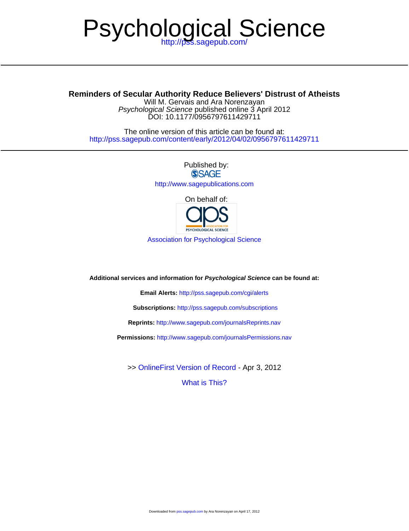# Psychological Science

# **Reminders of Secular Authority Reduce Believers' Distrust of Atheists**

DOI: 10.1177/0956797611429711 Psychological Science published online 3 April 2012 Will M. Gervais and Ara Norenzayan

<http://pss.sagepub.com/content/early/2012/04/02/0956797611429711> The online version of this article can be found at:

> Published by:<br>
> SAGE <http://www.sagepublications.com> On behalf of:

**PSYCHOLOGICAL SCIENCE** 

[Association for Psychological Science](http://www.psychologicalscience.org/)

**Additional services and information for Psychological Science can be found at:**

**Email Alerts:** <http://pss.sagepub.com/cgi/alerts>

**Subscriptions:** <http://pss.sagepub.com/subscriptions>

**Reprints:** <http://www.sagepub.com/journalsReprints.nav>

**Permissions:** <http://www.sagepub.com/journalsPermissions.nav>

[What is This?](http://online.sagepub.com/site/sphelp/vorhelp.xhtml) >> [OnlineFirst Version of Record -](http://pss.sagepub.com/content/early/2012/04/02/0956797611429711.full.pdf) Apr 3, 2012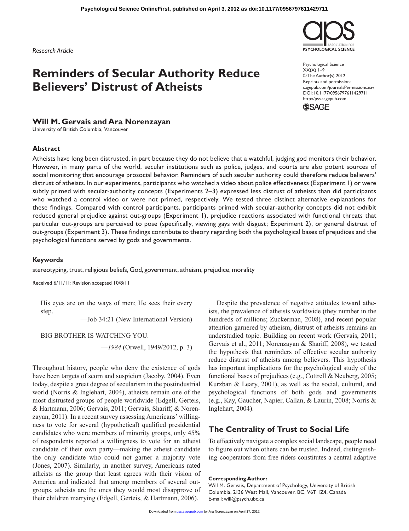# **Reminders of Secular Authority Reduce Believers' Distrust of Atheists**

#### **Will M. Gervais and Ara Norenzayan**

University of British Columbia, Vancouver

#### **Abstract**

Psychological Science  $XX(X)$  1–9 © The Author(s) 2012 Reprints and permission: sagepub.com/journalsPermissions.nav DOI: 10.1177/0956797611429711 http://pss.sagepub.com

PSYCHOLOGICAL SCIENCE



Atheists have long been distrusted, in part because they do not believe that a watchful, judging god monitors their behavior. However, in many parts of the world, secular institutions such as police, judges, and courts are also potent sources of social monitoring that encourage prosocial behavior. Reminders of such secular authority could therefore reduce believers' distrust of atheists. In our experiments, participants who watched a video about police effectiveness (Experiment 1) or were subtly primed with secular-authority concepts (Experiments 2–3) expressed less distrust of atheists than did participants who watched a control video or were not primed, respectively. We tested three distinct alternative explanations for these findings. Compared with control participants, participants primed with secular-authority concepts did not exhibit reduced general prejudice against out-groups (Experiment 1), prejudice reactions associated with functional threats that particular out-groups are perceived to pose (specifically, viewing gays with disgust; Experiment 2), or general distrust of out-groups (Experiment 3). These findings contribute to theory regarding both the psychological bases of prejudices and the psychological functions served by gods and governments.

#### **Keywords**

stereotyping, trust, religious beliefs, God, government, atheism, prejudice, morality

Received 6/11/11; Revision accepted 10/8/11

His eyes are on the ways of men; He sees their every step.

—Job 34:21 (New International Version)

#### BIG BROTHER IS WATCHING YOU.

—*1984* (Orwell, 1949/2012, p. 3)

Throughout history, people who deny the existence of gods have been targets of scorn and suspicion (Jacoby, 2004). Even today, despite a great degree of secularism in the postindustrial world (Norris & Inglehart, 2004), atheists remain one of the most distrusted groups of people worldwide (Edgell, Gerteis, & Hartmann, 2006; Gervais, 2011; Gervais, Shariff, & Norenzayan, 2011). In a recent survey assessing Americans' willingness to vote for several (hypothetical) qualified presidential candidates who were members of minority groups, only 45% of respondents reported a willingness to vote for an atheist candidate of their own party—making the atheist candidate the only candidate who could not garner a majority vote (Jones, 2007). Similarly, in another survey, Americans rated atheists as the group that least agrees with their vision of America and indicated that among members of several outgroups, atheists are the ones they would most disapprove of their children marrying (Edgell, Gerteis, & Hartmann, 2006).

Despite the prevalence of negative attitudes toward atheists, the prevalence of atheists worldwide (they number in the hundreds of millions; Zuckerman, 2008), and recent popular attention garnered by atheism, distrust of atheists remains an understudied topic. Building on recent work (Gervais, 2011; Gervais et al., 2011; Norenzayan & Shariff, 2008), we tested the hypothesis that reminders of effective secular authority reduce distrust of atheists among believers. This hypothesis has important implications for the psychological study of the functional bases of prejudices (e.g., Cottrell & Neuberg, 2005; Kurzban & Leary, 2001), as well as the social, cultural, and psychological functions of both gods and governments (e.g., Kay, Gaucher, Napier, Callan, & Laurin, 2008; Norris & Inglehart, 2004).

# **The Centrality of Trust to Social Life**

To effectively navigate a complex social landscape, people need to figure out when others can be trusted. Indeed, distinguishing cooperators from free riders constitutes a central adaptive

**Corresponding Author:**

Will M. Gervais, Department of Psychology, University of British Columbia, 2136 West Mall, Vancouver, BC, V6T 1Z4, Canada E-mail: will@psych.ubc.ca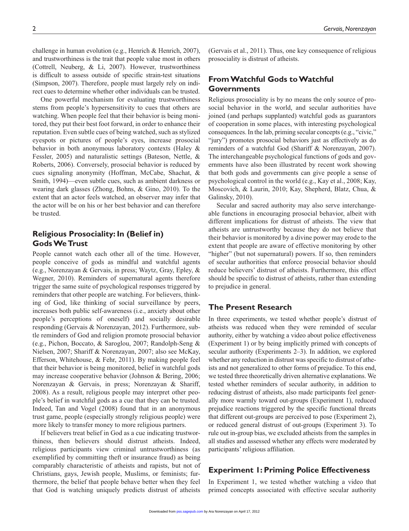(Gervais et al., 2011). Thus, one key consequence of religious prosociality is distrust of atheists.

**From Watchful Gods to Watchful Governments**

Religious prosociality is by no means the only source of prosocial behavior in the world, and secular authorities have joined (and perhaps supplanted) watchful gods as guarantors of cooperation in some places, with interesting psychological consequences. In the lab, priming secular concepts (e.g., "civic," "jury") promotes prosocial behaviors just as effectively as do reminders of a watchful God (Shariff & Norenzayan, 2007). The interchangeable psychological functions of gods and governments have also been illustrated by recent work showing that both gods and governments can give people a sense of psychological control in the world (e.g., Kay et al., 2008; Kay, Moscovich, & Laurin, 2010; Kay, Shepherd, Blatz, Chua, & Galinsky, 2010).

Secular and sacred authority may also serve interchangeable functions in encouraging prosocial behavior, albeit with different implications for distrust of atheists. The view that atheists are untrustworthy because they do not believe that their behavior is monitored by a divine power may erode to the extent that people are aware of effective monitoring by other "higher" (but not supernatural) powers. If so, then reminders of secular authorities that enforce prosocial behavior should reduce believers' distrust of atheists. Furthermore, this effect should be specific to distrust of atheists, rather than extending to prejudice in general.

#### **The Present Research**

In three experiments, we tested whether people's distrust of atheists was reduced when they were reminded of secular authority, either by watching a video about police effectiveness (Experiment 1) or by being implicitly primed with concepts of secular authority (Experiments 2–3). In addition, we explored whether any reduction in distrust was specific to distrust of atheists and not generalized to other forms of prejudice. To this end, we tested three theoretically driven alternative explanations. We tested whether reminders of secular authority, in addition to reducing distrust of atheists, also made participants feel generally more warmly toward out-groups (Experiment 1), reduced prejudice reactions triggered by the specific functional threats that different out-groups are perceived to pose (Experiment 2), or reduced general distrust of out-groups (Experiment 3). To rule out in-group bias, we excluded atheists from the samples in all studies and assessed whether any effects were moderated by participants' religious affiliation.

### **Experiment 1: Priming Police Effectiveness**

In Experiment 1, we tested whether watching a video that primed concepts associated with effective secular authority

challenge in human evolution (e.g., Henrich & Henrich, 2007), and trustworthiness is the trait that people value most in others (Cottrell, Neuberg, & Li, 2007). However, trustworthiness is difficult to assess outside of specific strain-test situations (Simpson, 2007). Therefore, people must largely rely on indirect cues to determine whether other individuals can be trusted.

One powerful mechanism for evaluating trustworthiness stems from people's hypersensitivity to cues that others are watching. When people feel that their behavior is being monitored, they put their best foot forward, in order to enhance their reputation. Even subtle cues of being watched, such as stylized eyespots or pictures of people's eyes, increase prosocial behavior in both anonymous laboratory contexts (Haley & Fessler, 2005) and naturalistic settings (Bateson, Nettle, & Roberts, 2006). Conversely, prosocial behavior is reduced by cues signaling anonymity (Hoffman, McCabe, Shachat, & Smith, 1994)—even subtle cues, such as ambient darkness or wearing dark glasses (Zhong, Bohns, & Gino, 2010). To the extent that an actor feels watched, an observer may infer that the actor will be on his or her best behavior and can therefore be trusted.

# **Religious Prosociality: In (Belief in) Gods We Trust**

People cannot watch each other all of the time. However, people conceive of gods as mindful and watchful agents (e.g., Norenzayan & Gervais, in press; Waytz, Gray, Epley, & Wegner, 2010). Reminders of supernatural agents therefore trigger the same suite of psychological responses triggered by reminders that other people are watching. For believers, thinking of God, like thinking of social surveillance by peers, increases both public self-awareness (i.e., anxiety about other people's perceptions of oneself) and socially desirable responding (Gervais & Norenzayan, 2012). Furthermore, subtle reminders of God and religion promote prosocial behavior (e.g., Pichon, Boccato, & Saroglou, 2007; Randolph-Seng & Nielsen, 2007; Shariff & Norenzayan, 2007; also see McKay, Efferson, Whitehouse, & Fehr, 2011). By making people feel that their behavior is being monitored, belief in watchful gods may increase cooperative behavior (Johnson & Bering, 2006; Norenzayan & Gervais, in press; Norenzayan & Shariff, 2008). As a result, religious people may interpret other people's belief in watchful gods as a cue that they can be trusted. Indeed, Tan and Vogel (2008) found that in an anonymous trust game, people (especially strongly religious people) were more likely to transfer money to more religious partners.

If believers treat belief in God as a cue indicating trustworthiness, then believers should distrust atheists. Indeed, religious participants view criminal untrustworthiness (as exemplified by committing theft or insurance fraud) as being comparably characteristic of atheists and rapists, but not of Christians, gays, Jewish people, Muslims, or feminists; furthermore, the belief that people behave better when they feel that God is watching uniquely predicts distrust of atheists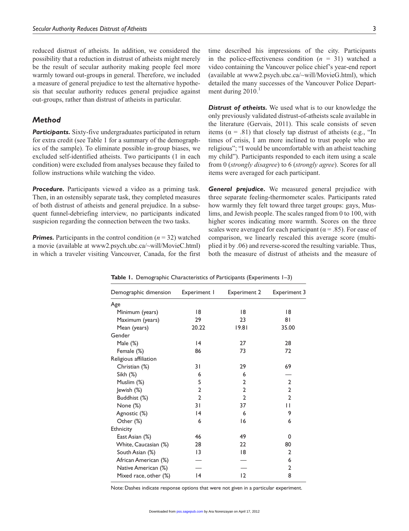reduced distrust of atheists. In addition, we considered the possibility that a reduction in distrust of atheists might merely be the result of secular authority making people feel more warmly toward out-groups in general. Therefore, we included a measure of general prejudice to test the alternative hypothesis that secular authority reduces general prejudice against out-groups, rather than distrust of atheists in particular.

#### *Method*

*Participants.* Sixty-five undergraduates participated in return for extra credit (see Table 1 for a summary of the demographics of the sample). To eliminate possible in-group biases, we excluded self-identified atheists. Two participants (1 in each condition) were excluded from analyses because they failed to follow instructions while watching the video.

**Procedure.** Participants viewed a video as a priming task. Then, in an ostensibly separate task, they completed measures of both distrust of atheists and general prejudice. In a subsequent funnel-debriefing interview, no participants indicated suspicion regarding the connection between the two tasks.

**Primes.** Participants in the control condition  $(n = 32)$  watched a movie (available at www2.psych.ubc.ca/~will/MovieC.html) in which a traveler visiting Vancouver, Canada, for the first

time described his impressions of the city. Participants in the police-effectiveness condition  $(n = 31)$  watched a video containing the Vancouver police chief's year-end report (available at www2.psych.ubc.ca/~will/MovieG.html), which detailed the many successes of the Vancouver Police Department during  $2010<sup>1</sup>$ 

*Distrust of atheists.* We used what is to our knowledge the only previously validated distrust-of-atheists scale available in the literature (Gervais, 2011). This scale consists of seven items ( $\alpha$  = .81) that closely tap distrust of atheists (e.g., "In times of crisis, I am more inclined to trust people who are religious"; "I would be uncomfortable with an atheist teaching my child"). Participants responded to each item using a scale from 0 (*strongly disagree*) to 6 (*strongly agree*). Scores for all items were averaged for each participant.

*General prejudice.* We measured general prejudice with three separate feeling-thermometer scales. Participants rated how warmly they felt toward three target groups: gays, Muslims, and Jewish people. The scales ranged from 0 to 100, with higher scores indicating more warmth. Scores on the three scales were averaged for each participant ( $\alpha$  = .85). For ease of comparison, we linearly rescaled this average score (multiplied it by .06) and reverse-scored the resulting variable. Thus, both the measure of distrust of atheists and the measure of

| Demographic dimension | Experiment I    | <b>Experiment 2</b> | <b>Experiment 3</b> |
|-----------------------|-----------------|---------------------|---------------------|
| Age                   |                 |                     |                     |
| Minimum (years)       | 18              | 18                  | 18                  |
| Maximum (years)       | 29              | 23                  | 81                  |
| Mean (years)          | 20.22           | 19.81               | 35.00               |
| Gender                |                 |                     |                     |
| Male (%)              | 4               | 27                  | 28                  |
| Female (%)            | 86              | 73                  | 72                  |
| Religious affiliation |                 |                     |                     |
| Christian (%)         | 3 I             | 29                  | 69                  |
| Sikh (%)              | 6               | 6                   |                     |
| Muslim (%)            | 5               | $\mathbf{2}$        | $\overline{2}$      |
| Jewish (%)            | $\overline{2}$  | $\overline{2}$      | $\overline{2}$      |
| Buddhist (%)          | $\overline{2}$  | $\overline{2}$      | $\overline{2}$      |
| None (%)              | 31              | 37                  | П                   |
| Agnostic (%)          | 4               | 6                   | 9                   |
| Other (%)             | 6               | 16                  | 6                   |
| Ethnicity             |                 |                     |                     |
| East Asian (%)        | 46              | 49                  | 0                   |
| White, Caucasian (%)  | 28              | 22                  | 80                  |
| South Asian (%)       | $\overline{13}$ | 18                  | $\overline{2}$      |
| African American (%)  |                 |                     | 6                   |
| Native American (%)   |                 |                     | $\overline{2}$      |
| Mixed race, other (%) | 4               | 12                  | 8                   |
|                       |                 |                     |                     |

**Table 1.** Demographic Characteristics of Participants (Experiments 1–3)

Note: Dashes indicate response options that were not given in a particular experiment.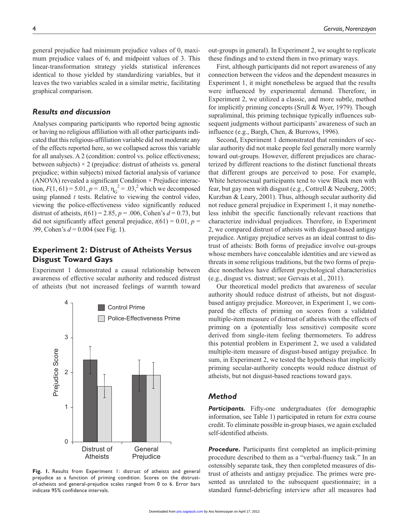general prejudice had minimum prejudice values of 0, maximum prejudice values of 6, and midpoint values of 3. This linear-transformation strategy yields statistical inferences identical to those yielded by standardizing variables, but it leaves the two variables scaled in a similar metric, facilitating graphical comparison.

#### *Results and discussion*

Analyses comparing participants who reported being agnostic or having no religious affiliation with all other participants indicated that this religious-affiliation variable did not moderate any of the effects reported here, so we collapsed across this variable for all analyses. A 2 (condition: control vs. police effectiveness; between subjects)  $\times$  2 (prejudice: distrust of atheists vs. general prejudice; within subjects) mixed factorial analysis of variance (ANOVA) revealed a significant Condition × Prejudice interaction,  $F(1, 61) = 5.01$ ,  $p = .03$ ,  $\eta_G^2 = .03$ , which we decomposed using planned *t* tests. Relative to viewing the control video, viewing the police-effectiveness video significantly reduced distrust of atheists,  $t(61) = 2.85$ ,  $p = .006$ , Cohen's  $d = 0.73$ , but did not significantly affect general prejudice,  $t(61) = 0.01$ ,  $p =$ .99, Cohen's *d* = 0.004 (see Fig. 1).

# **Experiment 2: Distrust of Atheists Versus Disgust Toward Gays**

Experiment 1 demonstrated a causal relationship between awareness of effective secular authority and reduced distrust of atheists (but not increased feelings of warmth toward



Fig. 1. Results from Experiment 1: distrust of atheists and general prejudice as a function of priming condition. Scores on the distrustof-atheists and general-prejudice scales ranged from 0 to 6. Error bars indicate 95% confidence intervals.

out-groups in general). In Experiment 2, we sought to replicate these findings and to extend them in two primary ways.

First, although participants did not report awareness of any connection between the videos and the dependent measures in Experiment 1, it might nonetheless be argued that the results were influenced by experimental demand. Therefore, in Experiment 2, we utilized a classic, and more subtle, method for implicitly priming concepts (Srull & Wyer, 1979). Though supraliminal, this priming technique typically influences subsequent judgments without participants' awareness of such an influence (e.g., Bargh, Chen, & Burrows, 1996).

Second, Experiment 1 demonstrated that reminders of secular authority did not make people feel generally more warmly toward out-groups. However, different prejudices are characterized by different reactions to the distinct functional threats that different groups are perceived to pose. For example, White heterosexual participants tend to view Black men with fear, but gay men with disgust (e.g., Cottrell & Neuberg, 2005; Kurzban & Leary, 2001). Thus, although secular authority did not reduce general prejudice in Experiment 1, it may nonetheless inhibit the specific functionally relevant reactions that characterize individual prejudices. Therefore, in Experiment 2, we compared distrust of atheists with disgust-based antigay prejudice. Antigay prejudice serves as an ideal contrast to distrust of atheists: Both forms of prejudice involve out-groups whose members have concealable identities and are viewed as threats in some religious traditions, but the two forms of prejudice nonetheless have different psychological characteristics (e.g., disgust vs. distrust; see Gervais et al., 2011).

Our theoretical model predicts that awareness of secular authority should reduce distrust of atheists, but not disgustbased antigay prejudice. Moreover, in Experiment 1, we compared the effects of priming on scores from a validated multiple-item measure of distrust of atheists with the effects of priming on a (potentially less sensitive) composite score derived from single-item feeling thermometers. To address this potential problem in Experiment 2, we used a validated multiple-item measure of disgust-based antigay prejudice. In sum, in Experiment 2, we tested the hypothesis that implicitly priming secular-authority concepts would reduce distrust of atheists, but not disgust-based reactions toward gays.

#### *Method*

**Participants.** Fifty-one undergraduates (for demographic information, see Table 1) participated in return for extra course credit. To eliminate possible in-group biases, we again excluded self-identified atheists.

*Procedure.* Participants first completed an implicit-priming procedure described to them as a "verbal-fluency task." In an ostensibly separate task, they then completed measures of distrust of atheists and antigay prejudice. The primes were presented as unrelated to the subsequent questionnaire; in a standard funnel-debriefing interview after all measures had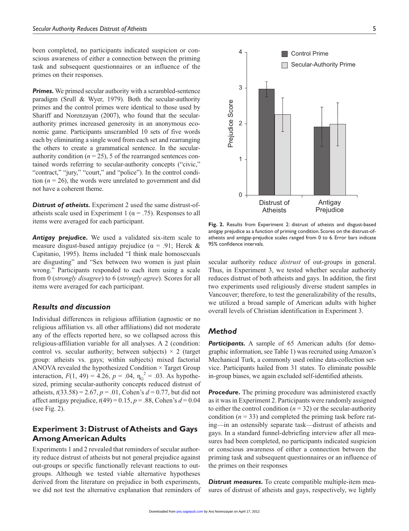been completed, no participants indicated suspicion or conscious awareness of either a connection between the priming task and subsequent questionnaires or an influence of the primes on their responses.

**Primes.** We primed secular authority with a scrambled-sentence paradigm (Srull & Wyer, 1979). Both the secular-authority primes and the control primes were identical to those used by Shariff and Norenzayan (2007), who found that the secularauthority primes increased generosity in an anonymous economic game. Participants unscrambled 10 sets of five words each by eliminating a single word from each set and rearranging the others to create a grammatical sentence. In the secularauthority condition  $(n = 25)$ , 5 of the rearranged sentences contained words referring to secular-authority concepts ("civic," "contract," "jury," "court," and "police"). In the control condition  $(n = 26)$ , the words were unrelated to government and did not have a coherent theme.

*Distrust of atheists.* Experiment 2 used the same distrust-ofatheists scale used in Experiment 1 ( $\alpha$  = .75). Responses to all items were averaged for each participant.

*Antigay prejudice.* We used a validated six-item scale to measure disgust-based antigay prejudice ( $\alpha$  = .91; Herek & Capitanio, 1995). Items included "I think male homosexuals are disgusting" and "Sex between two women is just plain wrong." Participants responded to each item using a scale from 0 (*strongly disagree*) to 6 (*strongly agree*). Scores for all items were averaged for each participant.

#### *Results and discussion*

Individual differences in religious affiliation (agnostic or no religious affiliation vs. all other affiliations) did not moderate any of the effects reported here, so we collapsed across this religious-affiliation variable for all analyses. A 2 (condition: control vs. secular authority; between subjects)  $\times$  2 (target group: atheists vs. gays; within subjects) mixed factorial ANOVA revealed the hypothesized Condition  $\times$  Target Group interaction,  $F(1, 49) = 4.26$ ,  $p = .04$ ,  $\eta_G^2 = .03$ . As hypothesized, priming secular-authority concepts reduced distrust of atheists,  $t(33.58) = 2.67$ ,  $p = .01$ , Cohen's  $d = 0.77$ , but did not affect antigay prejudice,  $t(49) = 0.15$ ,  $p = .88$ , Cohen's  $d = 0.04$ (see Fig. 2).

# **Experiment 3: Distrust of Atheists and Gays Among American Adults**

Experiments 1 and 2 revealed that reminders of secular authority reduce distrust of atheists but not general prejudice against out-groups or specific functionally relevant reactions to outgroups. Although we tested viable alternative hypotheses derived from the literature on prejudice in both experiments, we did not test the alternative explanation that reminders of



**Fig. 2.** Results from Experiment 2: distrust of atheists and disgust-based antigay prejudice as a function of priming condition. Scores on the distrust-ofatheists and antigay-prejudice scales ranged from 0 to 6. Error bars indicate 95% confidence intervals.

secular authority reduce *distrust* of out-groups in general. Thus, in Experiment 3, we tested whether secular authority reduces distrust of both atheists and gays. In addition, the first two experiments used religiously diverse student samples in Vancouver; therefore, to test the generalizability of the results, we utilized a broad sample of American adults with higher overall levels of Christian identification in Experiment 3.

#### *Method*

**Participants.** A sample of 65 American adults (for demographic information, see Table 1) was recruited using Amazon's Mechanical Turk, a commonly used online data-collection service. Participants hailed from 31 states. To eliminate possible in-group biases, we again excluded self-identified atheists.

**Procedure.** The priming procedure was administered exactly as it was in Experiment 2. Participants were randomly assigned to either the control condition  $(n = 32)$  or the secular-authority condition  $(n = 33)$  and completed the priming task before rating—in an ostensibly separate task—distrust of atheists and gays. In a standard funnel-debriefing interview after all measures had been completed, no participants indicated suspicion or conscious awareness of either a connection between the priming task and subsequent questionnaires or an influence of the primes on their responses

*Distrust measures.* To create compatible multiple-item measures of distrust of atheists and gays, respectively, we lightly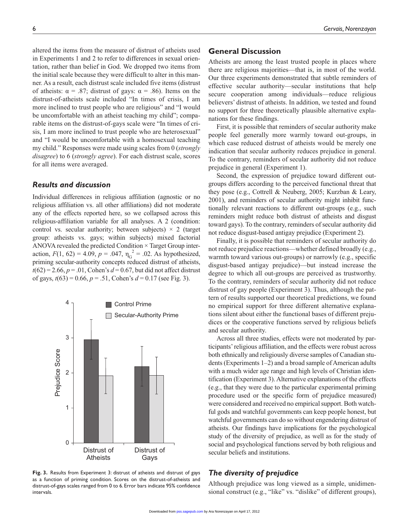altered the items from the measure of distrust of atheists used in Experiments 1 and 2 to refer to differences in sexual orientation, rather than belief in God. We dropped two items from the initial scale because they were difficult to alter in this manner. As a result, each distrust scale included five items (distrust of atheists:  $\alpha = .87$ ; distrust of gays:  $\alpha = .86$ ). Items on the distrust-of-atheists scale included "In times of crisis, I am more inclined to trust people who are religious" and "I would be uncomfortable with an atheist teaching my child"; comparable items on the distrust-of-gays scale were "In times of crisis, I am more inclined to trust people who are heterosexual" and "I would be uncomfortable with a homosexual teaching my child." Responses were made using scales from 0 (*strongly disagree*) to 6 (*strongly agree*). For each distrust scale, scores for all items were averaged.

#### *Results and discussion*

Individual differences in religious affiliation (agnostic or no religious affiliation vs. all other affiliations) did not moderate any of the effects reported here, so we collapsed across this religious-affiliation variable for all analyses. A 2 (condition: control vs. secular authority; between subjects)  $\times$  2 (target group: atheists vs. gays; within subjects) mixed factorial ANOVA revealed the predicted Condition × Target Group interaction,  $F(1, 62) = 4.09$ ,  $p = .047$ ,  $\eta_G^2 = .02$ . As hypothesized, priming secular-authority concepts reduced distrust of atheists,  $t(62) = 2.66$ ,  $p = .01$ , Cohen's  $d = 0.67$ , but did not affect distrust of gays,  $t(63) = 0.66$ ,  $p = .51$ , Cohen's  $d = 0.17$  (see Fig. 3).



**Fig. 3.** Results from Experiment 3: distrust of atheists and distrust of gays as a function of priming condition. Scores on the distrust-of-atheists and distrust-of-gays scales ranged from 0 to 6. Error bars indicate 95% confidence intervals.

#### **General Discussion**

Atheists are among the least trusted people in places where there are religious majorities—that is, in most of the world. Our three experiments demonstrated that subtle reminders of effective secular authority—secular institutions that help secure cooperation among individuals—reduce religious believers' distrust of atheists. In addition, we tested and found no support for three theoretically plausible alternative explanations for these findings.

First, it is possible that reminders of secular authority make people feel generally more warmly toward out-groups, in which case reduced distrust of atheists would be merely one indication that secular authority reduces prejudice in general. To the contrary, reminders of secular authority did not reduce prejudice in general (Experiment 1).

Second, the expression of prejudice toward different outgroups differs according to the perceived functional threat that they pose (e.g., Cottrell & Neuberg, 2005; Kurzban & Leary, 2001), and reminders of secular authority might inhibit functionally relevant reactions to different out-groups (e.g., such reminders might reduce both distrust of atheists and disgust toward gays). To the contrary, reminders of secular authority did not reduce disgust-based antigay prejudice (Experiment 2).

Finally, it is possible that reminders of secular authority do not reduce prejudice reactions—whether defined broadly (e.g., warmth toward various out-groups) or narrowly (e.g., specific disgust-based antigay prejudice)—but instead increase the degree to which all out-groups are perceived as trustworthy. To the contrary, reminders of secular authority did not reduce distrust of gay people (Experiment 3). Thus, although the pattern of results supported our theoretical predictions, we found no empirical support for three different alternative explanations silent about either the functional bases of different prejudices or the cooperative functions served by religious beliefs and secular authority.

Across all three studies, effects were not moderated by participants' religious affiliation, and the effects were robust across both ethnically and religiously diverse samples of Canadian students (Experiments 1–2) and a broad sample of American adults with a much wider age range and high levels of Christian identification (Experiment 3). Alternative explanations of the effects (e.g., that they were due to the particular experimental priming procedure used or the specific form of prejudice measured) were considered and received no empirical support. Both watchful gods and watchful governments can keep people honest, but watchful governments can do so without engendering distrust of atheists. Our findings have implications for the psychological study of the diversity of prejudice, as well as for the study of social and psychological functions served by both religious and secular beliefs and institutions.

# *The diversity of prejudice*

Although prejudice was long viewed as a simple, unidimensional construct (e.g., "like" vs. "dislike" of different groups),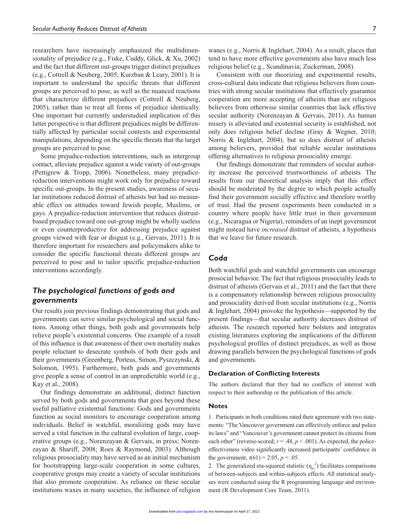researchers have increasingly emphasized the multidimensionality of prejudice (e.g., Fiske, Cuddy, Glick, & Xu, 2002) and the fact that different out-groups trigger distinct prejudices (e.g., Cottrell & Neuberg, 2005; Kurzban & Leary, 2001). It is important to understand the specific threats that different groups are perceived to pose, as well as the nuanced reactions that characterize different prejudices (Cottrell & Neuberg, 2005), rather than to treat all forms of prejudice identically. One important but currently understudied implication of this latter perspective is that different prejudices might be differentially affected by particular social contexts and experimental manipulations, depending on the specific threats that the target groups are perceived to pose.

Some prejudice-reduction interventions, such as intergroup contact, alleviate prejudice against a wide variety of out-groups (Pettigrew & Tropp, 2006). Nonetheless, many prejudicereduction interventions might work only for prejudice toward specific out-groups. In the present studies, awareness of secular institutions reduced distrust of atheists but had no measurable effect on attitudes toward Jewish people, Muslims, or gays. A prejudice-reduction intervention that reduces distrustbased prejudice toward one out-group might be wholly useless or even counterproductive for addressing prejudice against groups viewed with fear or disgust (e.g., Gervais, 2011). It is therefore important for researchers and policymakers alike to consider the specific functional threats different groups are perceived to pose and to tailor specific prejudice-reduction interventions accordingly.

# *The psychological functions of gods and governments*

Our results join previous findings demonstrating that gods and governments can serve similar psychological and social functions. Among other things, both gods and governments help relieve people's existential concerns. One example of a result of this influence is that awareness of their own mortality makes people reluctant to desecrate symbols of both their gods and their governments (Greenberg, Porteus, Simon, Pyszczynski, & Solomon, 1995). Furthermore, both gods and governments give people a sense of control in an unpredictable world (e.g., Kay et al., 2008).

Our findings demonstrate an additional, distinct function served by both gods and governments that goes beyond these useful palliative existential functions: Gods and governments function as social monitors to encourage cooperation among individuals. Belief in watchful, moralizing gods may have served a vital function in the cultural evolution of large, cooperative groups (e.g., Norenzayan & Gervais, in press; Norenzayan & Shariff, 2008; Roes & Raymond, 2003). Although religious prosociality may have served as an initial mechanism for bootstrapping large-scale cooperation in some cultures, cooperative groups may create a variety of secular institutions that also promote cooperation. As reliance on these secular institutions waxes in many societies, the influence of religion

wanes (e.g., Norris & Inglehart, 2004). As a result, places that tend to have more effective governments also have much less religious belief (e.g., Scandinavia; Zuckerman, 2008).

Consistent with our theorizing and experimental results, cross-cultural data indicate that religious believers from countries with strong secular institutions that effectively guarantee cooperation are more accepting of atheists than are religious believers from otherwise similar countries that lack effective secular authority (Norenzayan & Gervais, 2011). As human misery is alleviated and existential security is established, not only does religious belief decline (Gray & Wegner, 2010; Norris & Inglehart, 2004), but so does distrust of atheists among believers, provided that reliable secular institutions offering alternatives to religious prosociality emerge.

Our findings demonstrate that reminders of secular authority increase the perceived trustworthiness of atheists. The results from our theoretical analysis imply that this effect should be moderated by the degree to which people actually find their government socially effective and therefore worthy of trust. Had the present experiments been conducted in a country where people have little trust in their government (e.g., Nicaragua or Nigeria), reminders of an inept government might instead have *increased* distrust of atheists, a hypothesis that we leave for future research.

#### *Coda*

Both watchful gods and watchful governments can encourage prosocial behavior. The fact that religious prosociality leads to distrust of atheists (Gervais et al., 2011) and the fact that there is a compensatory relationship between religious prosociality and prosociality derived from secular institutions (e.g., Norris & Inglehart, 2004) provoke the hypothesis—supported by the present findings—that secular authority decreases distrust of atheists. The research reported here bolsters and integrates existing literatures exploring the implications of the different psychological profiles of distinct prejudices, as well as those drawing parallels between the psychological functions of gods and governments.

#### **Declaration of Conflicting Interests**

The authors declared that they had no conflicts of interest with respect to their authorship or the publication of this article.

#### **Notes**

1. Participants in both conditions rated their agreement with two statements: "The Vancouver government can effectively enforce and police its laws" and "Vancouver's government cannot protect its citizens from each other" (reverse-scored;  $r = .48$ ,  $p < .001$ ). As expected, the policeeffectiveness video significantly increased participants' confidence in the government,  $t(61) = 2.05$ ,  $p < .05$ .

2. The generalized eta-squared statistic  $(\eta_G^2)$  facilitates comparisons of between-subjects and within-subjects effects. All statistical analyses were conducted using the R programming language and environment (R Development Core Team, 2011).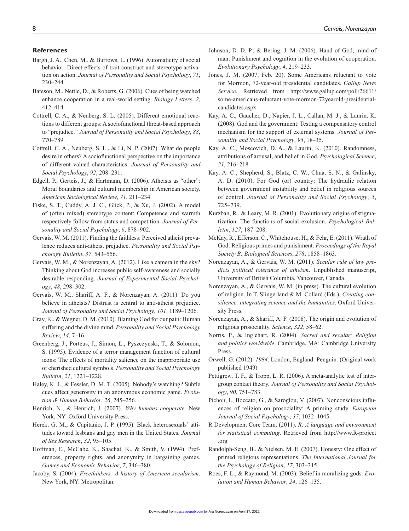#### **References**

- Bargh, J. A., Chen, M., & Burrows, L. (1996). Automaticity of social behavior: Direct effects of trait construct and stereotype activation on action. *Journal of Personality and Social Psychology*, *71*, 230–244.
- Bateson, M., Nettle, D., & Roberts, G. (2006). Cues of being watched enhance cooperation in a real-world setting. *Biology Letters*, *2*, 412–414.
- Cottrell, C. A., & Neuberg, S. L. (2005). Different emotional reactions to different groups: A sociofunctional threat-based approach to "prejudice." *Journal of Personality and Social Psychology*, *88*, 770–789.
- Cottrell, C. A., Neuberg, S. L., & Li, N. P. (2007). What do people desire in others? A sociofunctional perspective on the importance of different valued characteristics. *Journal of Personality and Social Psychology*, *92*, 208–231.
- Edgell, P., Gerteis, J., & Hartmann, D. (2006). Atheists as "other": Moral boundaries and cultural membership in American society. *American Sociological Review*, *71*, 211–234.
- Fiske, S. T., Cuddy, A. J. C., Glick, P., & Xu, J. (2002). A model of (often mixed) stereotype content: Competence and warmth respectively follow from status and competition. *Journal of Personality and Social Psychology*, *6*, 878–902.
- Gervais, W. M. (2011). Finding the faithless: Perceived atheist prevalence reduces anti-atheist prejudice. *Personality and Social Psychology Bulletin*, *37*, 543–556.
- Gervais, W. M., & Norenzayan, A. (2012). Like a camera in the sky? Thinking about God increases public self-awareness and socially desirable responding. *Journal of Experimental Social Psychology*, *48*, 298–302.
- Gervais, W. M., Shariff, A. F., & Norenzayan, A. (2011). Do you believe in atheists? Distrust is central to anti-atheist prejudice. *Journal of Personality and Social Psychology*, *101*, 1189–1206.
- Gray, K., & Wegner, D. M. (2010). Blaming God for our pain: Human suffering and the divine mind. *Personality and Social Psychology Review*, *14*, 7–16.
- Greenberg, J., Porteus, J., Simon, L., Pyszczynski, T., & Solomon, S. (1995). Evidence of a terror management function of cultural icons: The effects of mortality salience on the inappropriate use of cherished cultural symbols. *Personality and Social Psychology Bulletin*, *21*, 1221–1228.
- Haley, K. J., & Fessler, D. M. T. (2005). Nobody's watching? Subtle cues affect generosity in an anonymous economic game. *Evolution & Human Behavior*, *26*, 245–256.
- Henrich, N., & Henrich, J. (2007). *Why humans cooperate*. New York, NY: Oxford University Press.
- Herek, G. M., & Capitanio, J. P. (1995). Black heterosexuals' attitudes toward lesbians and gay men in the United States. *Journal of Sex Research*, *32*, 95–105.
- Hoffman, E., McCabe, K., Shachat, K., & Smith, V. (1994). Preferences, property rights, and anonymity in bargaining games. *Games and Economic Behavior*, *7*, 346–380.
- Jacoby, S. (2004). *Freethinkers: A history of American secularism*. New York, NY: Metropolitan.
- Johnson, D. D. P., & Bering, J. M. (2006). Hand of God, mind of man: Punishment and cognition in the evolution of cooperation. *Evolutionary Psychology*, *4*, 219–233.
- Jones, J. M. (2007, Feb. 20). Some Americans reluctant to vote for Mormon, 72-year-old presidential candidates. *Gallup News Service*. Retrieved from http://www.gallup.com/poll/26611/ some-americans-reluctant-vote-mormon-72yearold-presidentialcandidates.aspx
- Kay, A. C., Gaucher, D., Napier, J. L., Callan, M. J., & Laurin, K. (2008). God and the government: Testing a compensatory control mechanism for the support of external systems. *Journal of Personality and Social Psychology*, *95*, 18–35.
- Kay, A. C., Moscovich, D. A., & Laurin, K. (2010). Randomness, attributions of arousal, and belief in God. *Psychological Science*, *21*, 216–218.
- Kay, A. C., Shepherd, S., Blatz, C. W., Chua, S. N., & Galinsky, A. D. (2010). For God (or) country: The hydraulic relation between government instability and belief in religious sources of control. *Journal of Personality and Social Psychology*, *5*, 725–739.
- Kurzban, R., & Leary, M. R. (2001). Evolutionary origins of stigmatization: The functions of social exclusion. *Psychological Bulletin*, *127*, 187–208.
- McKay, R., Efferson, C., Whitehouse, H., & Fehr, E. (2011). Wrath of God: Religious primes and punishment. *Proceedings of the Royal Society B: Biological Sciences*, *278*, 1858–1863.
- Norenzayan, A., & Gervais, W. M. (2011). *Secular rule of law predicts political tolerance of atheism*. Unpublished manuscript, University of British Columbia, Vancouver, Canada.
- Norenzayan, A., & Gervais, W. M. (in press). The cultural evolution of religion. In T. Slingerland & M. Collard (Eds.), *Creating consilience, integrating science and the humanities*. Oxford University Press.
- Norenzayan, A., & Shariff, A. F. (2008). The origin and evolution of religious prosociality. *Science*, *322*, 58–62.
- Norris, P., & Inglehart, R. (2004). *Sacred and secular: Religion and politics worldwide*. Cambridge, MA: Cambridge University Press.
- Orwell, G. (2012). *1984*. London, England: Penguin. (Original work published 1949)
- Pettigrew, T. F., & Tropp, L. R. (2006). A meta-analytic test of intergroup contact theory. *Journal of Personality and Social Psychology*, *90*, 751–783.
- Pichon, I., Boccato, G., & Saroglou, V. (2007). Nonconscious influences of religion on prosociality: A priming study. *European Journal of Social Psychology*, *37*, 1032–1045.
- R Development Core Team. (2011). *R: A language and environment for statistical computing*. Retrieved from http://www.R-project .org
- Randolph-Seng, B., & Nielsen, M. E. (2007). Honesty: One effect of primed religious representations. *The International Journal for the Psychology of Religion*, *17*, 303–315.
- Roes, F. L., & Raymond, M. (2003). Belief in moralizing gods. *Evolution and Human Behavior*, *24*, 126–135.